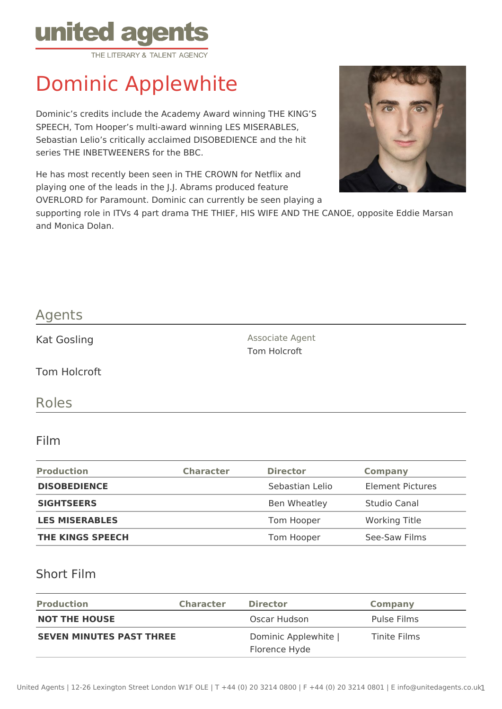

# Dominic Applewhite

Dominic's credits include the Academy Award winning THE KING'S SPEECH, Tom Hooper's multi-award winning LES MISERABLES, Sebastian Lelio's critically acclaimed DISOBEDIENCE and the hit series THE INBETWEENERS for the BBC.

He has most recently been seen in THE CROWN for Netflix and playing one of the leads in the J.J. Abrams produced feature OVERLORD for Paramount. Dominic can currently be seen playing a



supporting role in ITVs 4 part drama THE THIEF, HIS WIFE AND THE CANOE, opposite Eddie Marsan and Monica Dolan.

### Agents

Kat Gosling **Associate Agent** Associate Agent

Tom Holcroft

Roles

#### Film

| <b>Production</b>       | <b>Character</b> | <b>Director</b> | <b>Company</b>          |
|-------------------------|------------------|-----------------|-------------------------|
| <b>DISOBEDIENCE</b>     |                  | Sebastian Lelio | <b>Element Pictures</b> |
| <b>SIGHTSEERS</b>       |                  | Ben Wheatley    | Studio Canal            |
| <b>LES MISERABLES</b>   |                  | Tom Hooper      | <b>Working Title</b>    |
| <b>THE KINGS SPEECH</b> |                  | Tom Hooper      | See-Saw Films           |

Tom Holcroft

#### Short Film

| <b>Production</b>               | <b>Character</b> | <b>Director</b>                       | Company      |
|---------------------------------|------------------|---------------------------------------|--------------|
| <b>NOT THE HOUSE</b>            |                  | Oscar Hudson                          | Pulse Films  |
| <b>SEVEN MINUTES PAST THREE</b> |                  | Dominic Applewhite  <br>Florence Hyde | Tinite Films |